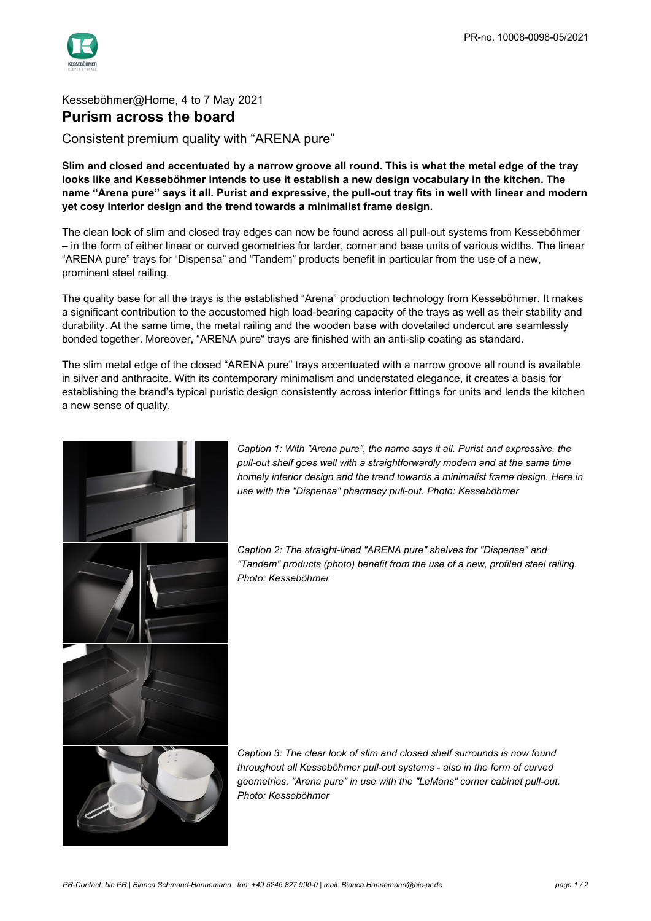

## Kesseböhmer@Home, 4 to 7 May 2021 **Purism across the board**

Consistent premium quality with "ARENA pure"

**Slim and closed and accentuated by a narrow groove all round. This is what the metal edge of the tray looks like and Kesseböhmer intends to use it establish a new design vocabulary in the kitchen. The name "Arena pure" says it all. Purist and expressive, the pull-out tray fits in well with linear and modern yet cosy interior design and the trend towards a minimalist frame design.**

The clean look of slim and closed tray edges can now be found across all pull-out systems from Kesseböhmer – in the form of either linear or curved geometries for larder, corner and base units of various widths. The linear "ARENA pure" trays for "Dispensa" and "Tandem" products benefit in particular from the use of a new, prominent steel railing.

The quality base for all the trays is the established "Arena" production technology from Kesseböhmer. It makes a significant contribution to the accustomed high load-bearing capacity of the trays as well as their stability and durability. At the same time, the metal railing and the wooden base with dovetailed undercut are seamlessly bonded together. Moreover, "ARENA pure" trays are finished with an anti-slip coating as standard.

The slim metal edge of the closed "ARENA pure" trays accentuated with a narrow groove all round is available in silver and anthracite. With its contemporary minimalism and understated elegance, it creates a basis for establishing the brand's typical puristic design consistently across interior fittings for units and lends the kitchen a new sense of quality.



*Caption 1: With "Arena pure", the name says it all. Purist and expressive, the pull-out shelf goes well with a straightforwardly modern and at the same time homely interior design and the trend towards a minimalist frame design. Here in use with the "Dispensa" pharmacy pull-out. Photo: Kesseböhmer*

*Caption 2: The straight-lined "ARENA pure" shelves for "Dispensa" and "Tandem" products (photo) benefit from the use of a new, profiled steel railing. Photo: Kesseböhmer*

*Caption 3: The clear look of slim and closed shelf surrounds is now found throughout all Kesseböhmer pull-out systems - also in the form of curved geometries. "Arena pure" in use with the "LeMans" corner cabinet pull-out. Photo: Kesseböhmer*